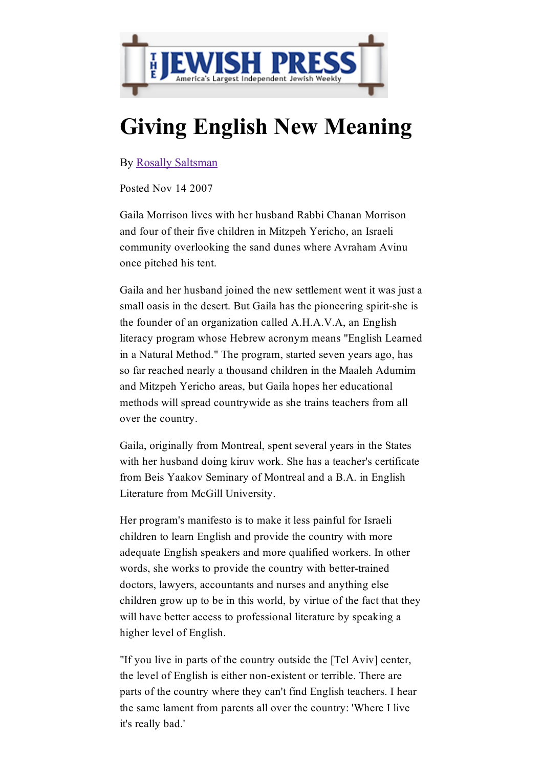

## Giving English New Meaning

By Rosally [Saltsman](http://gaimor.freehostia.com/jewishpress-14-nov-07.htm)

Posted Nov 14 2007

Gaila Morrison lives with her husband Rabbi Chanan Morrison and four of their five children in Mitzpeh Yericho, an Israeli community overlooking the sand dunes where Avraham Avinu once pitched his tent.

Gaila and her husband joined the new settlement went it was just a small oasis in the desert. But Gaila has the pioneering spirit-she is the founder of an organization called A.H.A.V.A, an English literacy program whose Hebrew acronym means "English Learned in a Natural Method." The program, started seven years ago, has so far reached nearly a thousand children in the Maaleh Adumim and Mitzpeh Yericho areas, but Gaila hopes her educational methods will spread countrywide as she trains teachers from all over the country.

Gaila, originally from Montreal, spent several years in the States with her husband doing kiruv work. She has a teacher's certificate from Beis Yaakov Seminary of Montreal and a B.A. in English Literature from McGill University.

Her program's manifesto is to make it less painful for Israeli children to learn English and provide the country with more adequate English speakers and more qualified workers. In other words, she works to provide the country with better-trained doctors, lawyers, accountants and nurses and anything else children grow up to be in this world, by virtue of the fact that they will have better access to professional literature by speaking a higher level of English.

"If you live in parts of the country outside the [Tel Aviv] center, the level of English is either non-existent or terrible. There are parts of the country where they can't find English teachers. I hear the same lament from parents all over the country: 'Where I live it's really bad.'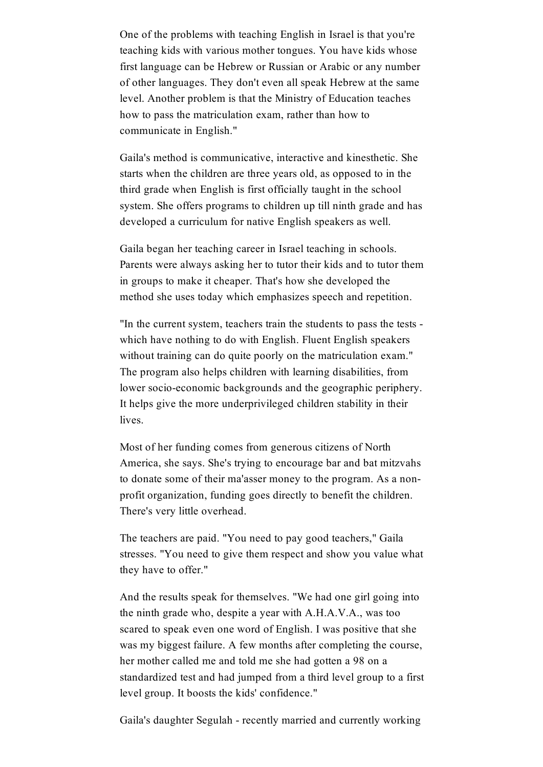One of the problems with teaching English in Israel is that you're teaching kids with various mother tongues. You have kids whose first language can be Hebrew or Russian or Arabic or any number of other languages. They don't even all speak Hebrew at the same level. Another problem is that the Ministry of Education teaches how to pass the matriculation exam, rather than how to communicate in English."

Gaila's method is communicative, interactive and kinesthetic. She starts when the children are three years old, as opposed to in the third grade when English is first officially taught in the school system. She offers programs to children up till ninth grade and has developed a curriculum for native English speakers as well.

Gaila began her teaching career in Israel teaching in schools. Parents were always asking her to tutor their kids and to tutor them in groups to make it cheaper. That's how she developed the method she uses today which emphasizes speech and repetition.

"In the current system, teachers train the students to pass the tests which have nothing to do with English. Fluent English speakers without training can do quite poorly on the matriculation exam." The program also helps children with learning disabilities, from lower socio-economic backgrounds and the geographic periphery. It helps give the more underprivileged children stability in their lives.

Most of her funding comes from generous citizens of North America, she says. She's trying to encourage bar and bat mitzvahs to donate some of their ma'asser money to the program. As a nonprofit organization, funding goes directly to benefit the children. There's very little overhead.

The teachers are paid. "You need to pay good teachers," Gaila stresses. "You need to give them respect and show you value what they have to offer."

And the results speak for themselves. "We had one girl going into the ninth grade who, despite a year with A.H.A.V.A., was too scared to speak even one word of English. I was positive that she was my biggest failure. A few months after completing the course, her mother called me and told me she had gotten a 98 on a standardized test and had jumped from a third level group to a first level group. It boosts the kids' confidence."

Gaila's daughter Segulah - recently married and currently working